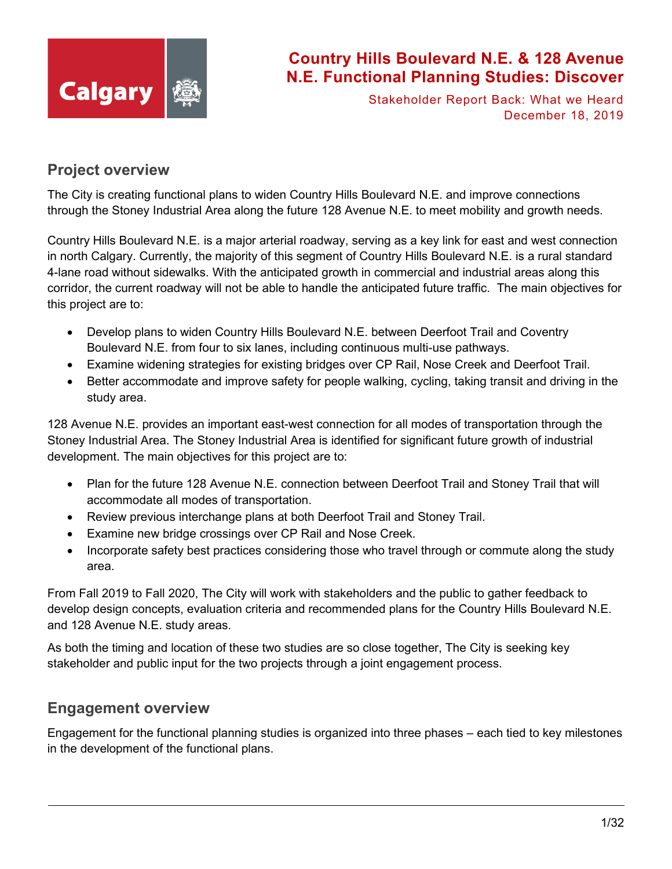

Stakeholder Report Back: What we Heard December 18, 2019

## **Project overview**

The City is creating functional plans to widen Country Hills Boulevard N.E. and improve connections through the Stoney Industrial Area along the future 128 Avenue N.E. to meet mobility and growth needs.

Country Hills Boulevard N.E. is a major arterial roadway, serving as a key link for east and west connection in north Calgary. Currently, the majority of this segment of Country Hills Boulevard N.E. is a rural standard 4-lane road without sidewalks. With the anticipated growth in commercial and industrial areas along this corridor, the current roadway will not be able to handle the anticipated future traffic. The main objectives for this project are to:

- Develop plans to widen Country Hills Boulevard N.E. between Deerfoot Trail and Coventry Boulevard N.E. from four to six lanes, including continuous multi-use pathways.
- Examine widening strategies for existing bridges over CP Rail, Nose Creek and Deerfoot Trail.
- Better accommodate and improve safety for people walking, cycling, taking transit and driving in the study area.

128 Avenue N.E. provides an important east-west connection for all modes of transportation through the Stoney Industrial Area. The Stoney Industrial Area is identified for significant future growth of industrial development. The main objectives for this project are to:

- Plan for the future 128 Avenue N.E. connection between Deerfoot Trail and Stoney Trail that will accommodate all modes of transportation.
- Review previous interchange plans at both Deerfoot Trail and Stoney Trail.
- Examine new bridge crossings over CP Rail and Nose Creek.
- Incorporate safety best practices considering those who travel through or commute along the study area.

From Fall 2019 to Fall 2020, The City will work with stakeholders and the public to gather feedback to develop design concepts, evaluation criteria and recommended plans for the Country Hills Boulevard N.E. and 128 Avenue N.E. study areas.

As both the timing and location of these two studies are so close together, The City is seeking key stakeholder and public input for the two projects through a joint engagement process.

## **Engagement overview**

Engagement for the functional planning studies is organized into three phases – each tied to key milestones in the development of the functional plans.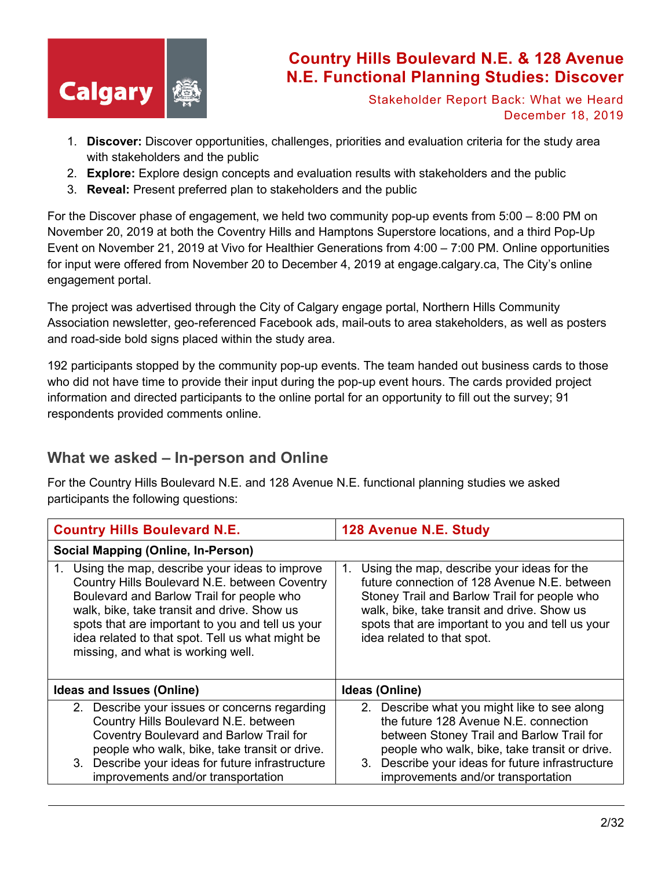

Stakeholder Report Back: What we Heard December 18, 2019

- 1. **Discover:** Discover opportunities, challenges, priorities and evaluation criteria for the study area with stakeholders and the public
- 2. **Explore:** Explore design concepts and evaluation results with stakeholders and the public
- 3. **Reveal:** Present preferred plan to stakeholders and the public

For the Discover phase of engagement, we held two community pop-up events from 5:00 – 8:00 PM on November 20, 2019 at both the Coventry Hills and Hamptons Superstore locations, and a third Pop-Up Event on November 21, 2019 at Vivo for Healthier Generations from 4:00 – 7:00 PM. Online opportunities for input were offered from November 20 to December 4, 2019 at engage.calgary.ca, The City's online engagement portal.

The project was advertised through the City of Calgary engage portal, Northern Hills Community Association newsletter, geo-referenced Facebook ads, mail-outs to area stakeholders, as well as posters and road-side bold signs placed within the study area.

192 participants stopped by the community pop-up events. The team handed out business cards to those who did not have time to provide their input during the pop-up event hours. The cards provided project information and directed participants to the online portal for an opportunity to fill out the survey; 91 respondents provided comments online.

# **What we asked – In-person and Online**

For the Country Hills Boulevard N.E. and 128 Avenue N.E. functional planning studies we asked participants the following questions:

| <b>Country Hills Boulevard N.E.</b>                                                                                                                                                                                                                                                                                                            | 128 Avenue N.E. Study                                                                                                                                                                                                                                                             |
|------------------------------------------------------------------------------------------------------------------------------------------------------------------------------------------------------------------------------------------------------------------------------------------------------------------------------------------------|-----------------------------------------------------------------------------------------------------------------------------------------------------------------------------------------------------------------------------------------------------------------------------------|
| <b>Social Mapping (Online, In-Person)</b>                                                                                                                                                                                                                                                                                                      |                                                                                                                                                                                                                                                                                   |
| Using the map, describe your ideas to improve<br>1.<br>Country Hills Boulevard N.E. between Coventry<br>Boulevard and Barlow Trail for people who<br>walk, bike, take transit and drive. Show us<br>spots that are important to you and tell us your<br>idea related to that spot. Tell us what might be<br>missing, and what is working well. | Using the map, describe your ideas for the<br>1.<br>future connection of 128 Avenue N.E. between<br>Stoney Trail and Barlow Trail for people who<br>walk, bike, take transit and drive. Show us<br>spots that are important to you and tell us your<br>idea related to that spot. |
| Ideas and Issues (Online)                                                                                                                                                                                                                                                                                                                      | Ideas (Online)                                                                                                                                                                                                                                                                    |
| 2. Describe your issues or concerns regarding<br>Country Hills Boulevard N.E. between<br>Coventry Boulevard and Barlow Trail for<br>people who walk, bike, take transit or drive.<br>3. Describe your ideas for future infrastructure<br>improvements and/or transportation                                                                    | 2. Describe what you might like to see along<br>the future 128 Avenue N.E. connection<br>between Stoney Trail and Barlow Trail for<br>people who walk, bike, take transit or drive.<br>3. Describe your ideas for future infrastructure<br>improvements and/or transportation     |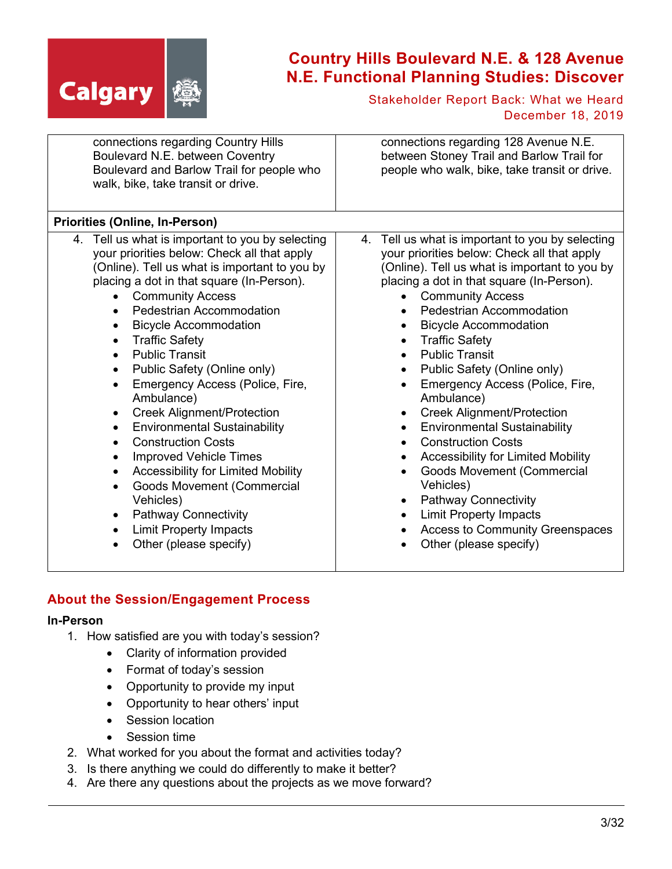

Stakeholder Report Back: What we Heard December 18, 2019

| connections regarding Country Hills<br>Boulevard N.E. between Coventry<br>Boulevard and Barlow Trail for people who<br>walk, bike, take transit or drive.                                                                                                                                                                                                                                                                                                                                                                                                                                                                                                                                                                                                                                                                                                       | connections regarding 128 Avenue N.E.<br>between Stoney Trail and Barlow Trail for<br>people who walk, bike, take transit or drive.                                                                                                                                                                                                                                                                                                                                                                                                                                                                                                                                                                                                                                                                                    |
|-----------------------------------------------------------------------------------------------------------------------------------------------------------------------------------------------------------------------------------------------------------------------------------------------------------------------------------------------------------------------------------------------------------------------------------------------------------------------------------------------------------------------------------------------------------------------------------------------------------------------------------------------------------------------------------------------------------------------------------------------------------------------------------------------------------------------------------------------------------------|------------------------------------------------------------------------------------------------------------------------------------------------------------------------------------------------------------------------------------------------------------------------------------------------------------------------------------------------------------------------------------------------------------------------------------------------------------------------------------------------------------------------------------------------------------------------------------------------------------------------------------------------------------------------------------------------------------------------------------------------------------------------------------------------------------------------|
| <b>Priorities (Online, In-Person)</b>                                                                                                                                                                                                                                                                                                                                                                                                                                                                                                                                                                                                                                                                                                                                                                                                                           |                                                                                                                                                                                                                                                                                                                                                                                                                                                                                                                                                                                                                                                                                                                                                                                                                        |
| 4. Tell us what is important to you by selecting<br>your priorities below: Check all that apply<br>(Online). Tell us what is important to you by<br>placing a dot in that square (In-Person).<br><b>Community Access</b><br>Pedestrian Accommodation<br><b>Bicycle Accommodation</b><br><b>Traffic Safety</b><br>$\bullet$<br><b>Public Transit</b><br>$\bullet$<br>Public Safety (Online only)<br>$\bullet$<br>Emergency Access (Police, Fire,<br>$\bullet$<br>Ambulance)<br><b>Creek Alignment/Protection</b><br><b>Environmental Sustainability</b><br>٠<br><b>Construction Costs</b><br>$\bullet$<br><b>Improved Vehicle Times</b><br>$\bullet$<br><b>Accessibility for Limited Mobility</b><br>$\bullet$<br>Goods Movement (Commercial<br>Vehicles)<br><b>Pathway Connectivity</b><br><b>Limit Property Impacts</b><br>$\bullet$<br>Other (please specify) | 4. Tell us what is important to you by selecting<br>your priorities below: Check all that apply<br>(Online). Tell us what is important to you by<br>placing a dot in that square (In-Person).<br><b>Community Access</b><br><b>Pedestrian Accommodation</b><br><b>Bicycle Accommodation</b><br><b>Traffic Safety</b><br><b>Public Transit</b><br>Public Safety (Online only)<br>$\bullet$<br>Emergency Access (Police, Fire,<br>Ambulance)<br><b>Creek Alignment/Protection</b><br><b>Environmental Sustainability</b><br><b>Construction Costs</b><br><b>Accessibility for Limited Mobility</b><br>$\bullet$<br>Goods Movement (Commercial<br>Vehicles)<br><b>Pathway Connectivity</b><br>$\bullet$<br><b>Limit Property Impacts</b><br>$\bullet$<br><b>Access to Community Greenspaces</b><br>Other (please specify) |

### **About the Session/Engagement Process**

#### **In-Person**

- 1. How satisfied are you with today's session?
	- Clarity of information provided
	- Format of today's session
	- Opportunity to provide my input
	- Opportunity to hear others' input
	- Session location
	- Session time
- 2. What worked for you about the format and activities today?
- 3. Is there anything we could do differently to make it better?
- 4. Are there any questions about the projects as we move forward?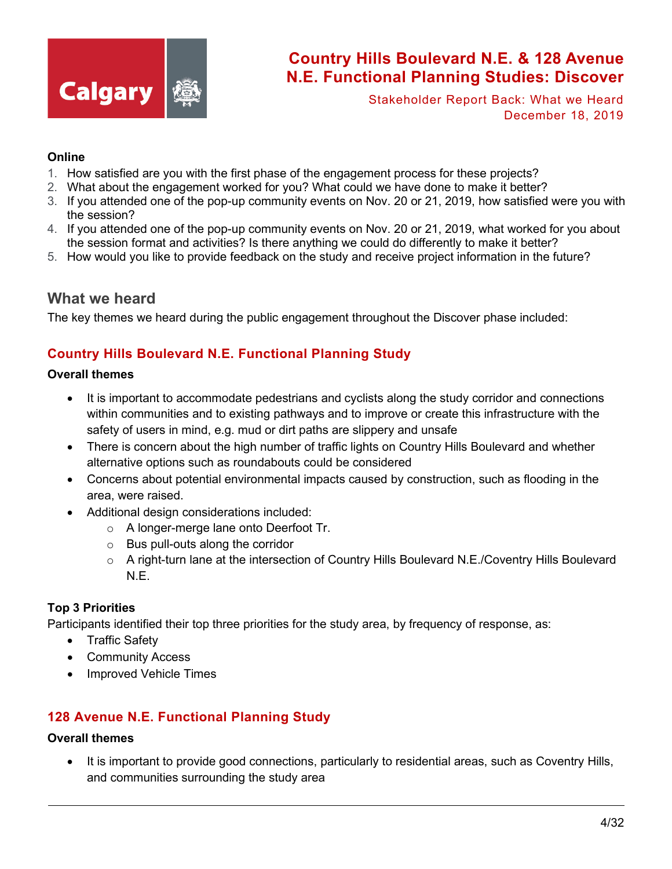

Stakeholder Report Back: What we Heard December 18, 2019

#### **Online**

- 1. How satisfied are you with the first phase of the engagement process for these projects?
- 2. What about the engagement worked for you? What could we have done to make it better?
- 3. If you attended one of the pop-up community events on Nov. 20 or 21, 2019, how satisfied were you with the session?
- 4. If you attended one of the pop-up community events on Nov. 20 or 21, 2019, what worked for you about the session format and activities? Is there anything we could do differently to make it better?
- 5. How would you like to provide feedback on the study and receive project information in the future?

### **What we heard**

The key themes we heard during the public engagement throughout the Discover phase included:

### **Country Hills Boulevard N.E. Functional Planning Study**

#### **Overall themes**

- It is important to accommodate pedestrians and cyclists along the study corridor and connections within communities and to existing pathways and to improve or create this infrastructure with the safety of users in mind, e.g. mud or dirt paths are slippery and unsafe
- There is concern about the high number of traffic lights on Country Hills Boulevard and whether alternative options such as roundabouts could be considered
- Concerns about potential environmental impacts caused by construction, such as flooding in the area, were raised.
- Additional design considerations included:
	- o A longer-merge lane onto Deerfoot Tr.
	- o Bus pull-outs along the corridor
	- o A right-turn lane at the intersection of Country Hills Boulevard N.E./Coventry Hills Boulevard N.E.

#### **Top 3 Priorities**

Participants identified their top three priorities for the study area, by frequency of response, as:

- Traffic Safety
- Community Access
- Improved Vehicle Times

### **128 Avenue N.E. Functional Planning Study**

#### **Overall themes**

• It is important to provide good connections, particularly to residential areas, such as Coventry Hills, and communities surrounding the study area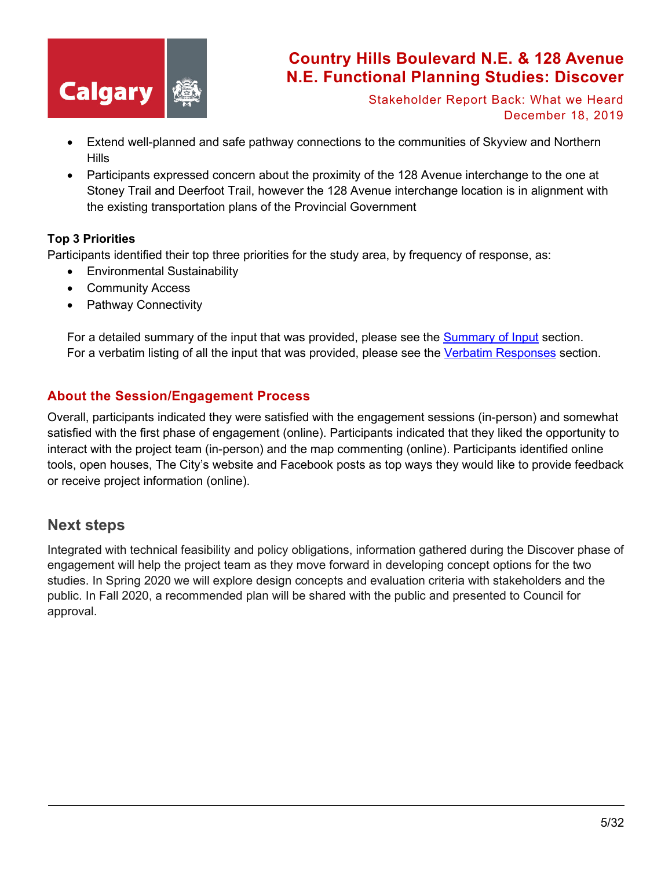

Stakeholder Report Back: What we Heard December 18, 2019

- Extend well-planned and safe pathway connections to the communities of Skyview and Northern Hills
- Participants expressed concern about the proximity of the 128 Avenue interchange to the one at Stoney Trail and Deerfoot Trail, however the 128 Avenue interchange location is in alignment with the existing transportation plans of the Provincial Government

#### **Top 3 Priorities**

Participants identified their top three priorities for the study area, by frequency of response, as:

- Environmental Sustainability
- Community Access
- Pathway Connectivity

For a detailed summary of the input that was provided, please see the [Summary of Input](#page-5-0) section. For a verbatim listing of all the input that was provided, please see the [Verbatim Responses](#page-11-0) section.

### **About the Session/Engagement Process**

Overall, participants indicated they were satisfied with the engagement sessions (in-person) and somewhat satisfied with the first phase of engagement (online). Participants indicated that they liked the opportunity to interact with the project team (in-person) and the map commenting (online). Participants identified online tools, open houses, The City's website and Facebook posts as top ways they would like to provide feedback or receive project information (online).

### **Next steps**

Integrated with technical feasibility and policy obligations, information gathered during the Discover phase of engagement will help the project team as they move forward in developing concept options for the two studies. In Spring 2020 we will explore design concepts and evaluation criteria with stakeholders and the public. In Fall 2020, a recommended plan will be shared with the public and presented to Council for approval.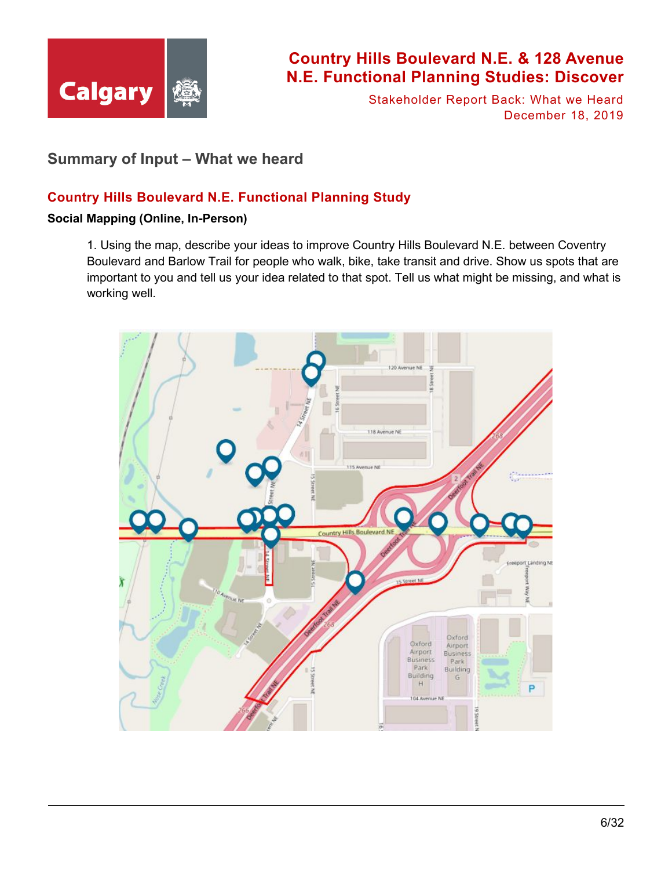

Stakeholder Report Back: What we Heard December 18, 2019

## <span id="page-5-0"></span>**Summary of Input – What we heard**

### **Country Hills Boulevard N.E. Functional Planning Study**

#### **Social Mapping (Online, In-Person)**

1. Using the map, describe your ideas to improve Country Hills Boulevard N.E. between Coventry Boulevard and Barlow Trail for people who walk, bike, take transit and drive. Show us spots that are important to you and tell us your idea related to that spot. Tell us what might be missing, and what is working well.

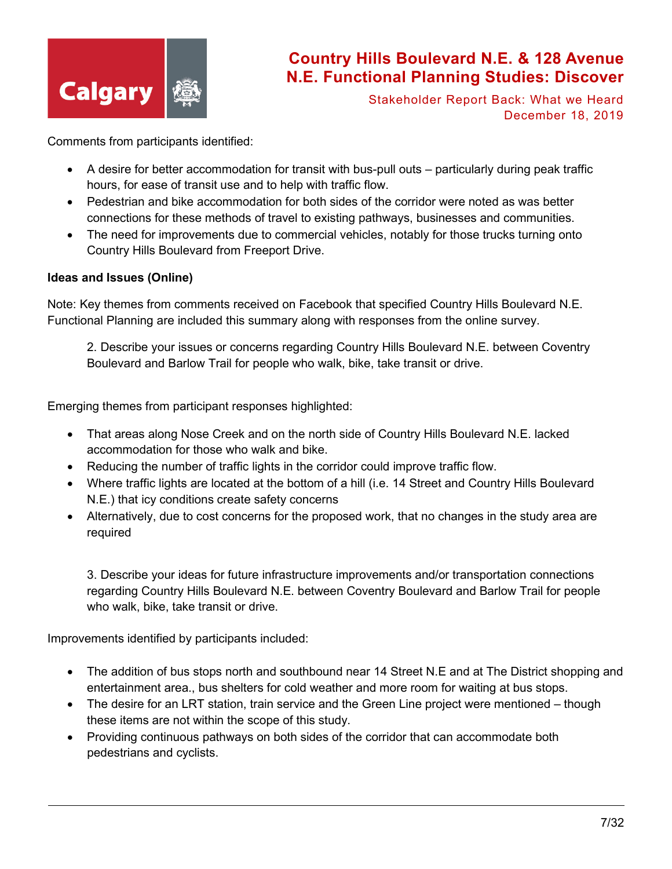

Stakeholder Report Back: What we Heard December 18, 2019

Comments from participants identified:

- A desire for better accommodation for transit with bus-pull outs particularly during peak traffic hours, for ease of transit use and to help with traffic flow.
- Pedestrian and bike accommodation for both sides of the corridor were noted as was better connections for these methods of travel to existing pathways, businesses and communities.
- The need for improvements due to commercial vehicles, notably for those trucks turning onto Country Hills Boulevard from Freeport Drive.

#### **Ideas and Issues (Online)**

Note: Key themes from comments received on Facebook that specified Country Hills Boulevard N.E. Functional Planning are included this summary along with responses from the online survey.

2. Describe your issues or concerns regarding Country Hills Boulevard N.E. between Coventry Boulevard and Barlow Trail for people who walk, bike, take transit or drive.

Emerging themes from participant responses highlighted:

- That areas along Nose Creek and on the north side of Country Hills Boulevard N.E. lacked accommodation for those who walk and bike.
- Reducing the number of traffic lights in the corridor could improve traffic flow.
- Where traffic lights are located at the bottom of a hill (i.e. 14 Street and Country Hills Boulevard N.E.) that icy conditions create safety concerns
- Alternatively, due to cost concerns for the proposed work, that no changes in the study area are required

3. Describe your ideas for future infrastructure improvements and/or transportation connections regarding Country Hills Boulevard N.E. between Coventry Boulevard and Barlow Trail for people who walk, bike, take transit or drive.

Improvements identified by participants included:

- The addition of bus stops north and southbound near 14 Street N.E and at The District shopping and entertainment area., bus shelters for cold weather and more room for waiting at bus stops.
- The desire for an LRT station, train service and the Green Line project were mentioned though these items are not within the scope of this study.
- Providing continuous pathways on both sides of the corridor that can accommodate both pedestrians and cyclists.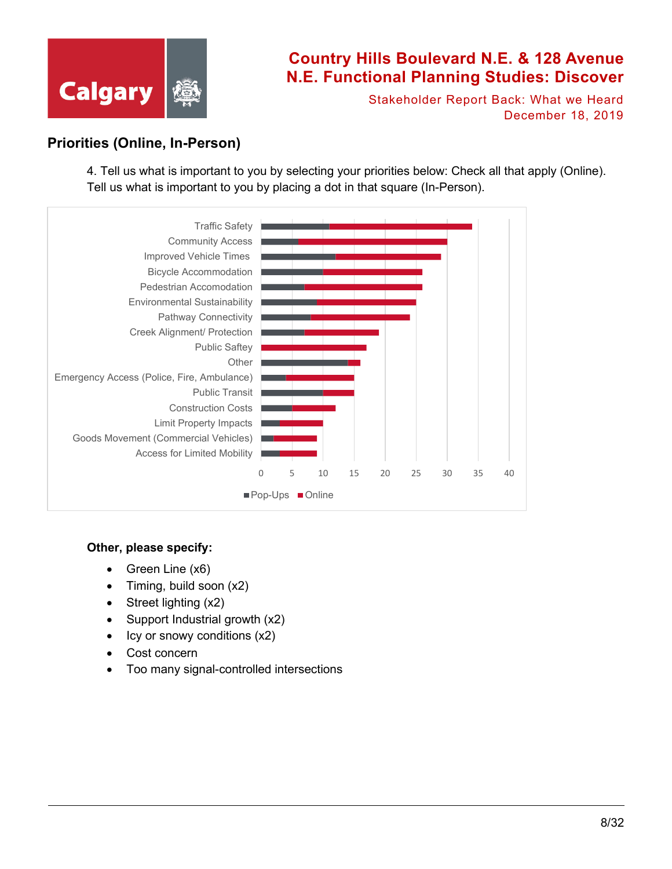

Stakeholder Report Back: What we Heard December 18, 2019

## **Priorities (Online, In-Person)**

4. Tell us what is important to you by selecting your priorities below: Check all that apply (Online). Tell us what is important to you by placing a dot in that square (In-Person).



#### **Other, please specify:**

- Green Line (x6)
- Timing, build soon (x2)
- Street lighting (x2)
- Support Industrial growth (x2)
- Icy or snowy conditions (x2)
- Cost concern
- Too many signal-controlled intersections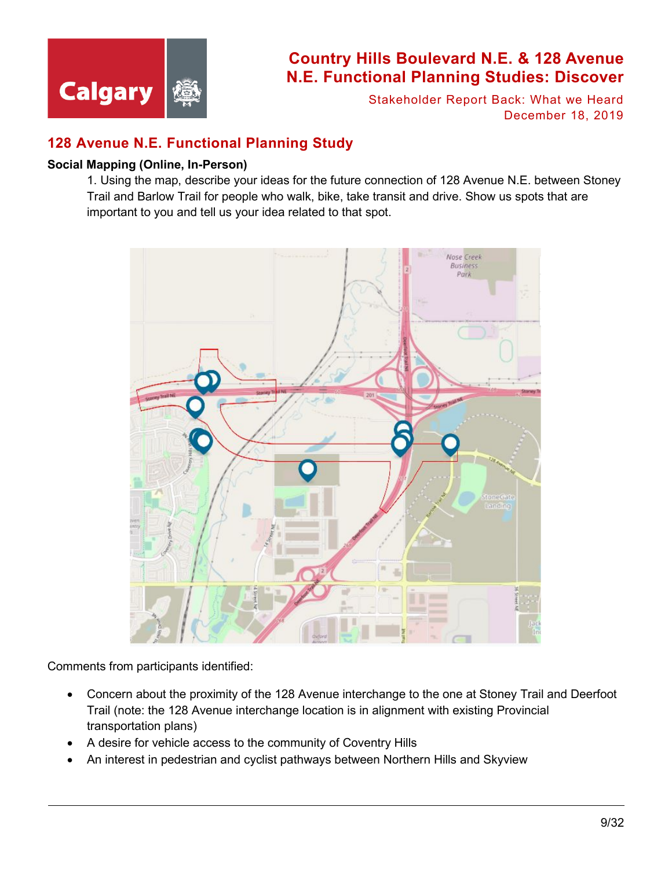

Stakeholder Report Back: What we Heard December 18, 2019

## **128 Avenue N.E. Functional Planning Study**

#### **Social Mapping (Online, In-Person)**

1. Using the map, describe your ideas for the future connection of 128 Avenue N.E. between Stoney Trail and Barlow Trail for people who walk, bike, take transit and drive. Show us spots that are important to you and tell us your idea related to that spot.



Comments from participants identified:

- Concern about the proximity of the 128 Avenue interchange to the one at Stoney Trail and Deerfoot Trail (note: the 128 Avenue interchange location is in alignment with existing Provincial transportation plans)
- A desire for vehicle access to the community of Coventry Hills
- An interest in pedestrian and cyclist pathways between Northern Hills and Skyview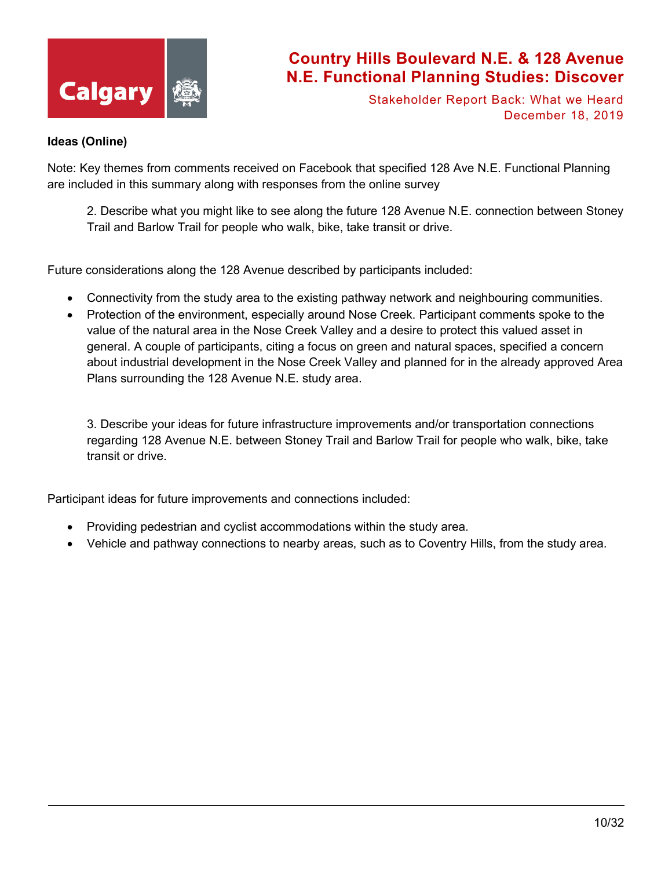

Stakeholder Report Back: What we Heard December 18, 2019

#### **Ideas (Online)**

Note: Key themes from comments received on Facebook that specified 128 Ave N.E. Functional Planning are included in this summary along with responses from the online survey

2. Describe what you might like to see along the future 128 Avenue N.E. connection between Stoney Trail and Barlow Trail for people who walk, bike, take transit or drive.

Future considerations along the 128 Avenue described by participants included:

- Connectivity from the study area to the existing pathway network and neighbouring communities.
- Protection of the environment, especially around Nose Creek. Participant comments spoke to the value of the natural area in the Nose Creek Valley and a desire to protect this valued asset in general. A couple of participants, citing a focus on green and natural spaces, specified a concern about industrial development in the Nose Creek Valley and planned for in the already approved Area Plans surrounding the 128 Avenue N.E. study area.

3. Describe your ideas for future infrastructure improvements and/or transportation connections regarding 128 Avenue N.E. between Stoney Trail and Barlow Trail for people who walk, bike, take transit or drive.

Participant ideas for future improvements and connections included:

- Providing pedestrian and cyclist accommodations within the study area.
- Vehicle and pathway connections to nearby areas, such as to Coventry Hills, from the study area.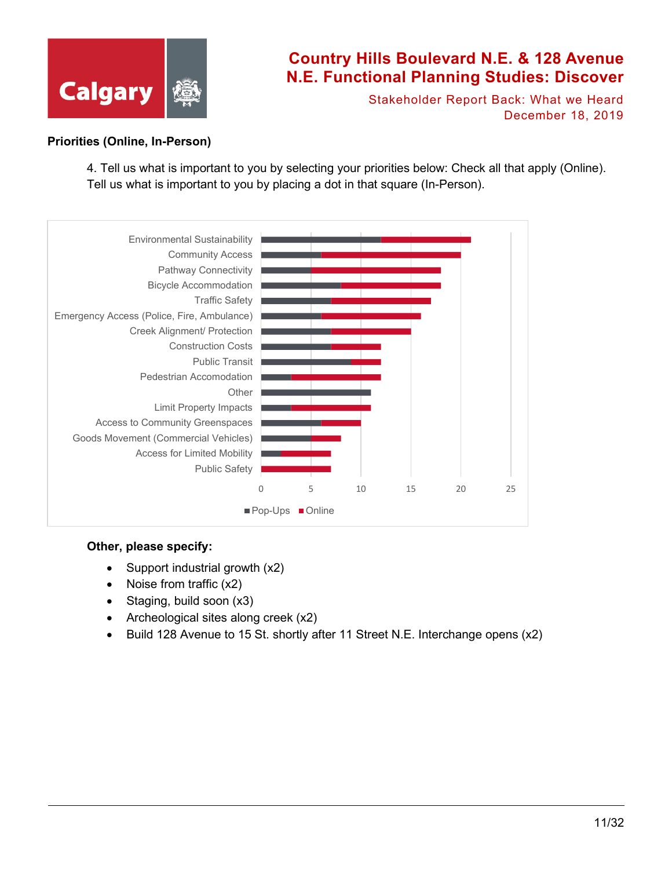

Stakeholder Report Back: What we Heard December 18, 2019

#### **Priorities (Online, In-Person)**

4. Tell us what is important to you by selecting your priorities below: Check all that apply (Online). Tell us what is important to you by placing a dot in that square (In-Person).



#### **Other, please specify:**

- Support industrial growth (x2)
- Noise from traffic (x2)
- Staging, build soon (x3)
- Archeological sites along creek (x2)
- Build 128 Avenue to 15 St. shortly after 11 Street N.E. Interchange opens (x2)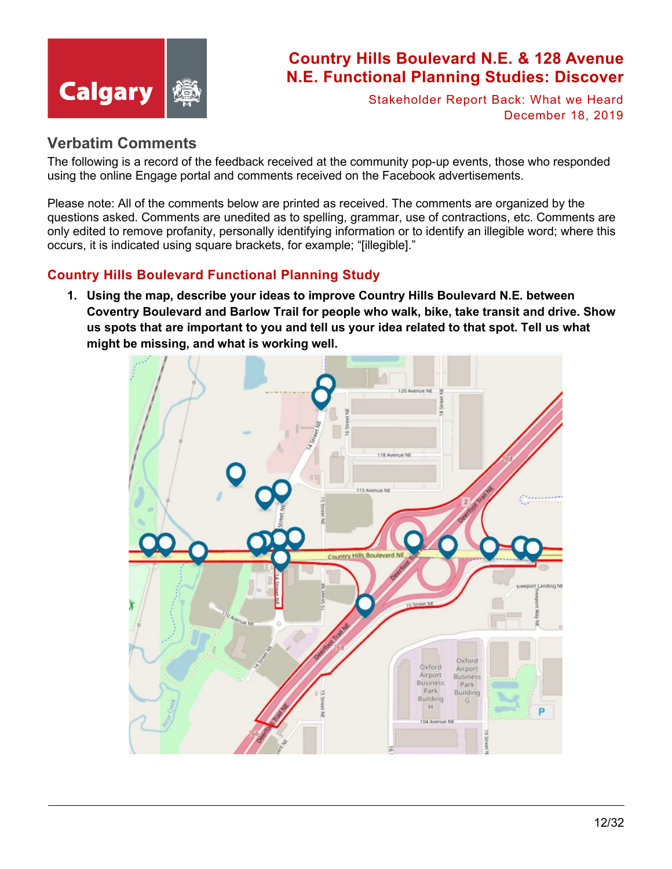

Stakeholder Report Back: What we Heard December 18, 2019

## <span id="page-11-0"></span>**Verbatim Comments**

The following is a record of the feedback received at the community pop-up events, those who responded using the online Engage portal and comments received on the Facebook advertisements.

Please note: All of the comments below are printed as received. The comments are organized by the questions asked. Comments are unedited as to spelling, grammar, use of contractions, etc. Comments are only edited to remove profanity, personally identifying information or to identify an illegible word; where this occurs, it is indicated using square brackets, for example; "[illegible]."

## **Country Hills Boulevard Functional Planning Study**

**1. Using the map, describe your ideas to improve Country Hills Boulevard N.E. between Coventry Boulevard and Barlow Trail for people who walk, bike, take transit and drive. Show us spots that are important to you and tell us your idea related to that spot. Tell us what might be missing, and what is working well.**

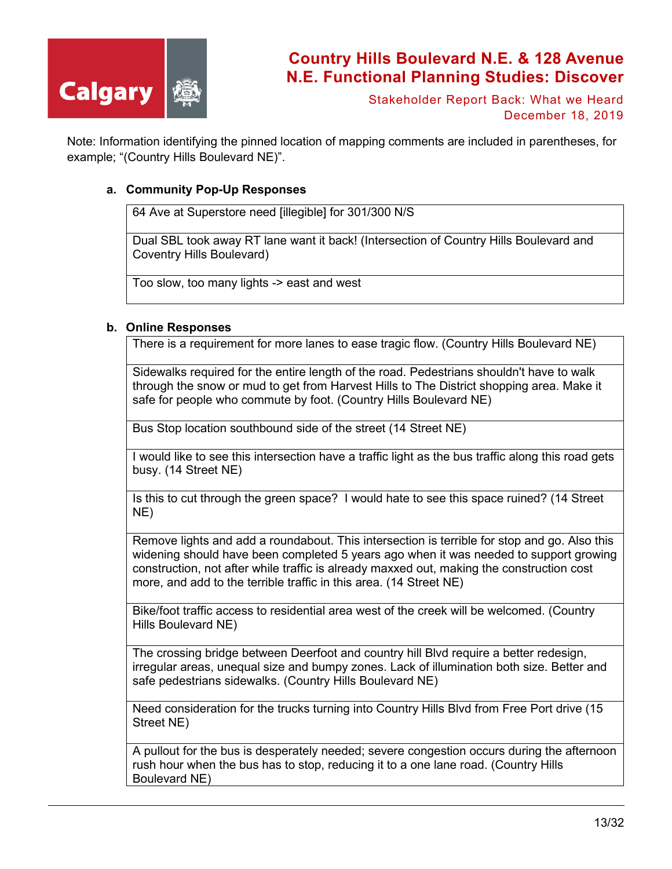

Stakeholder Report Back: What we Heard December 18, 2019

Note: Information identifying the pinned location of mapping comments are included in parentheses, for example; "(Country Hills Boulevard NE)".

#### **a. Community Pop-Up Responses**

64 Ave at Superstore need [illegible] for 301/300 N/S

Dual SBL took away RT lane want it back! (Intersection of Country Hills Boulevard and Coventry Hills Boulevard)

Too slow, too many lights -> east and west

#### **b. Online Responses**

There is a requirement for more lanes to ease tragic flow. (Country Hills Boulevard NE)

Sidewalks required for the entire length of the road. Pedestrians shouldn't have to walk through the snow or mud to get from Harvest Hills to The District shopping area. Make it safe for people who commute by foot. (Country Hills Boulevard NE)

Bus Stop location southbound side of the street (14 Street NE)

I would like to see this intersection have a traffic light as the bus traffic along this road gets busy. (14 Street NE)

Is this to cut through the green space? I would hate to see this space ruined? (14 Street NE)

Remove lights and add a roundabout. This intersection is terrible for stop and go. Also this widening should have been completed 5 years ago when it was needed to support growing construction, not after while traffic is already maxxed out, making the construction cost more, and add to the terrible traffic in this area. (14 Street NE)

Bike/foot traffic access to residential area west of the creek will be welcomed. (Country Hills Boulevard NE)

The crossing bridge between Deerfoot and country hill Blvd require a better redesign, irregular areas, unequal size and bumpy zones. Lack of illumination both size. Better and safe pedestrians sidewalks. (Country Hills Boulevard NE)

Need consideration for the trucks turning into Country Hills Blvd from Free Port drive (15 Street NE)

A pullout for the bus is desperately needed; severe congestion occurs during the afternoon rush hour when the bus has to stop, reducing it to a one lane road. (Country Hills Boulevard NE)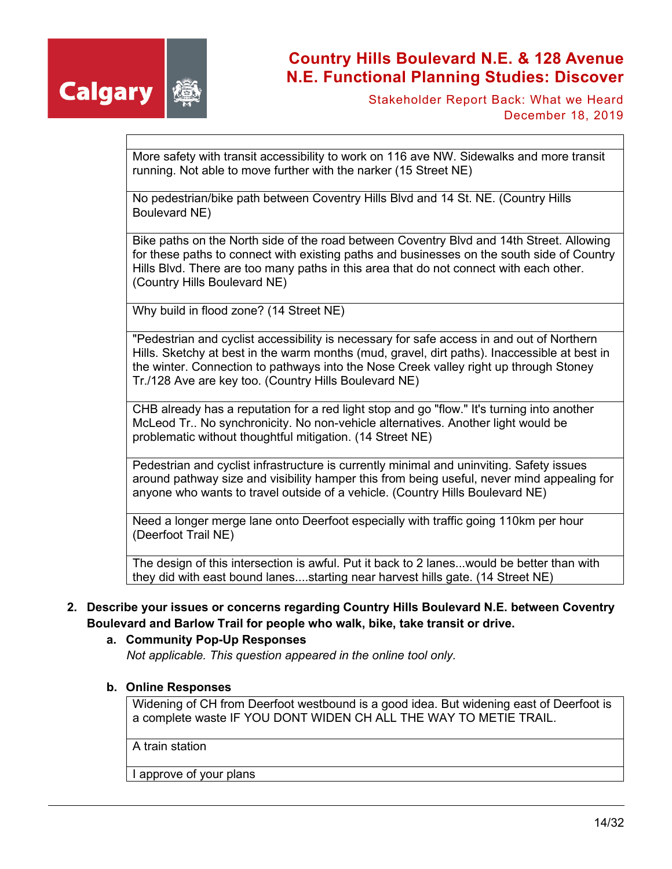

Stakeholder Report Back: What we Heard December 18, 2019

More safety with transit accessibility to work on 116 ave NW. Sidewalks and more transit running. Not able to move further with the narker (15 Street NE)

No pedestrian/bike path between Coventry Hills Blvd and 14 St. NE. (Country Hills Boulevard NE)

Bike paths on the North side of the road between Coventry Blvd and 14th Street. Allowing for these paths to connect with existing paths and businesses on the south side of Country Hills Blvd. There are too many paths in this area that do not connect with each other. (Country Hills Boulevard NE)

Why build in flood zone? (14 Street NE)

"Pedestrian and cyclist accessibility is necessary for safe access in and out of Northern Hills. Sketchy at best in the warm months (mud, gravel, dirt paths). Inaccessible at best in the winter. Connection to pathways into the Nose Creek valley right up through Stoney Tr./128 Ave are key too. (Country Hills Boulevard NE)

CHB already has a reputation for a red light stop and go "flow." It's turning into another McLeod Tr.. No synchronicity. No non-vehicle alternatives. Another light would be problematic without thoughtful mitigation. (14 Street NE)

Pedestrian and cyclist infrastructure is currently minimal and uninviting. Safety issues around pathway size and visibility hamper this from being useful, never mind appealing for anyone who wants to travel outside of a vehicle. (Country Hills Boulevard NE)

Need a longer merge lane onto Deerfoot especially with traffic going 110km per hour (Deerfoot Trail NE)

The design of this intersection is awful. Put it back to 2 lanes...would be better than with they did with east bound lanes....starting near harvest hills gate. (14 Street NE)

### **2. Describe your issues or concerns regarding Country Hills Boulevard N.E. between Coventry Boulevard and Barlow Trail for people who walk, bike, take transit or drive.**

#### **a. Community Pop-Up Responses**

*Not applicable. This question appeared in the online tool only.*

#### **b. Online Responses**

Widening of CH from Deerfoot westbound is a good idea. But widening east of Deerfoot is a complete waste IF YOU DONT WIDEN CH ALL THE WAY TO METIE TRAIL.

A train station

I approve of your plans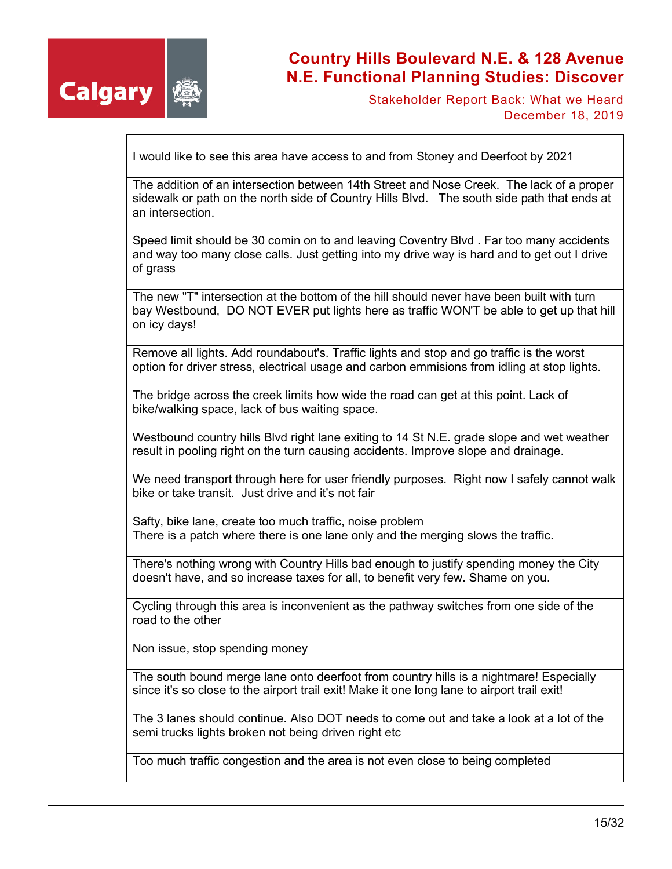

Stakeholder Report Back: What we Heard December 18, 2019

I would like to see this area have access to and from Stoney and Deerfoot by 2021

The addition of an intersection between 14th Street and Nose Creek. The lack of a proper sidewalk or path on the north side of Country Hills Blvd. The south side path that ends at an intersection.

Speed limit should be 30 comin on to and leaving Coventry Blvd . Far too many accidents and way too many close calls. Just getting into my drive way is hard and to get out I drive of grass

The new "T" intersection at the bottom of the hill should never have been built with turn bay Westbound, DO NOT EVER put lights here as traffic WON'T be able to get up that hill on icy days!

Remove all lights. Add roundabout's. Traffic lights and stop and go traffic is the worst option for driver stress, electrical usage and carbon emmisions from idling at stop lights.

The bridge across the creek limits how wide the road can get at this point. Lack of bike/walking space, lack of bus waiting space.

Westbound country hills Blvd right lane exiting to 14 St N.E. grade slope and wet weather result in pooling right on the turn causing accidents. Improve slope and drainage.

We need transport through here for user friendly purposes. Right now I safely cannot walk bike or take transit. Just drive and it's not fair

Safty, bike lane, create too much traffic, noise problem There is a patch where there is one lane only and the merging slows the traffic.

There's nothing wrong with Country Hills bad enough to justify spending money the City doesn't have, and so increase taxes for all, to benefit very few. Shame on you.

Cycling through this area is inconvenient as the pathway switches from one side of the road to the other

Non issue, stop spending money

The south bound merge lane onto deerfoot from country hills is a nightmare! Especially since it's so close to the airport trail exit! Make it one long lane to airport trail exit!

The 3 lanes should continue. Also DOT needs to come out and take a look at a lot of the semi trucks lights broken not being driven right etc

Too much traffic congestion and the area is not even close to being completed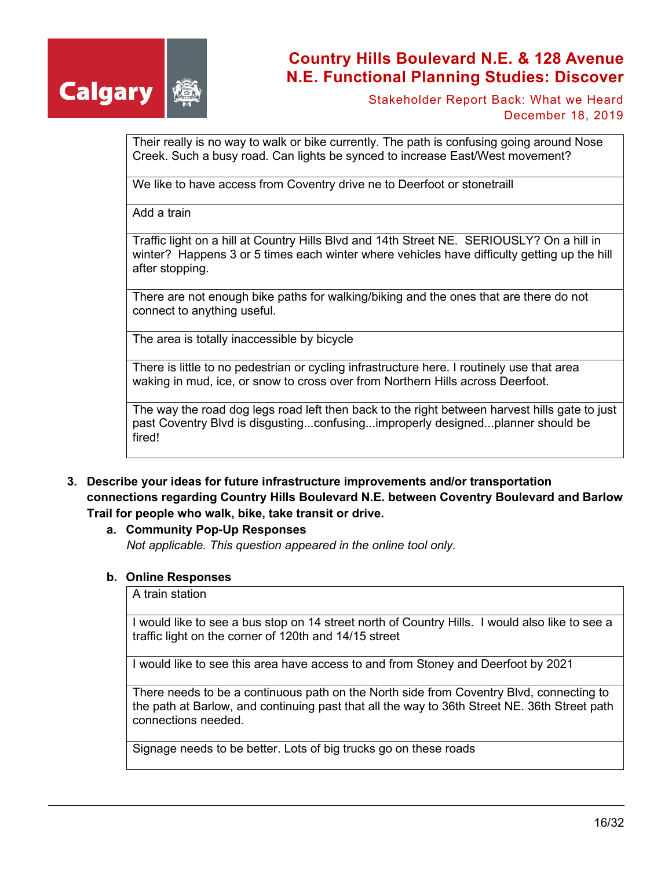

Stakeholder Report Back: What we Heard December 18, 2019

Their really is no way to walk or bike currently. The path is confusing going around Nose Creek. Such a busy road. Can lights be synced to increase East/West movement?

We like to have access from Coventry drive ne to Deerfoot or stonetraill

Add a train

Traffic light on a hill at Country Hills Blvd and 14th Street NE. SERIOUSLY? On a hill in winter? Happens 3 or 5 times each winter where vehicles have difficulty getting up the hill after stopping.

There are not enough bike paths for walking/biking and the ones that are there do not connect to anything useful.

The area is totally inaccessible by bicycle

There is little to no pedestrian or cycling infrastructure here. I routinely use that area waking in mud, ice, or snow to cross over from Northern Hills across Deerfoot.

The way the road dog legs road left then back to the right between harvest hills gate to just past Coventry Blvd is disgusting...confusing...improperly designed...planner should be fired!

- **3. Describe your ideas for future infrastructure improvements and/or transportation connections regarding Country Hills Boulevard N.E. between Coventry Boulevard and Barlow Trail for people who walk, bike, take transit or drive.**
	- **a. Community Pop-Up Responses**

*Not applicable. This question appeared in the online tool only.*

#### **b. Online Responses**

A train station

I would like to see a bus stop on 14 street north of Country Hills. I would also like to see a traffic light on the corner of 120th and 14/15 street

I would like to see this area have access to and from Stoney and Deerfoot by 2021

There needs to be a continuous path on the North side from Coventry Blvd, connecting to the path at Barlow, and continuing past that all the way to 36th Street NE. 36th Street path connections needed.

Signage needs to be better. Lots of big trucks go on these roads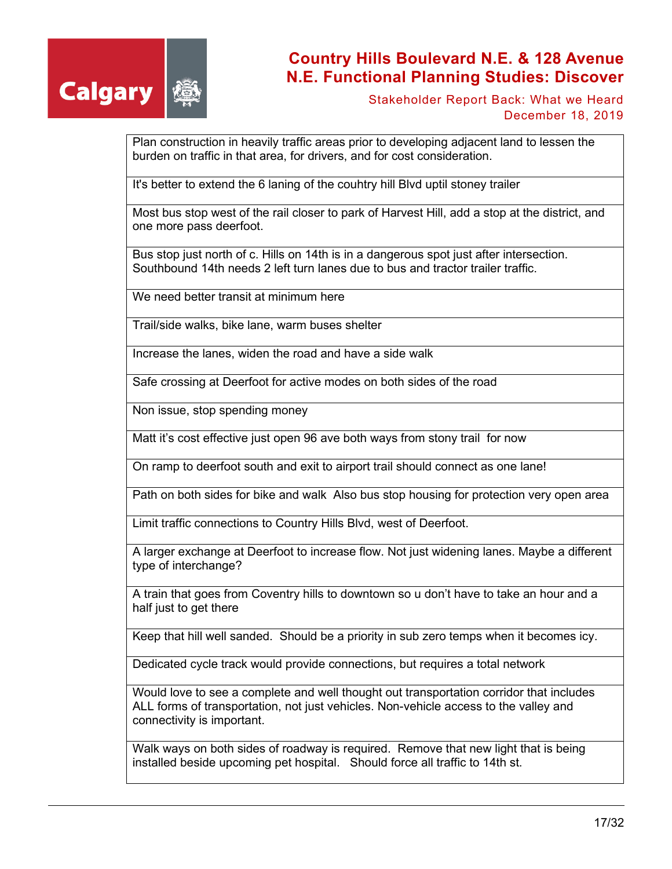

Stakeholder Report Back: What we Heard December 18, 2019

Plan construction in heavily traffic areas prior to developing adjacent land to lessen the burden on traffic in that area, for drivers, and for cost consideration.

It's better to extend the 6 laning of the couhtry hill Blvd uptil stoney trailer

Most bus stop west of the rail closer to park of Harvest Hill, add a stop at the district, and one more pass deerfoot.

Bus stop just north of c. Hills on 14th is in a dangerous spot just after intersection. Southbound 14th needs 2 left turn lanes due to bus and tractor trailer traffic.

We need better transit at minimum here

Trail/side walks, bike lane, warm buses shelter

Increase the lanes, widen the road and have a side walk

Safe crossing at Deerfoot for active modes on both sides of the road

Non issue, stop spending money

Matt it's cost effective just open 96 ave both ways from stony trail for now

On ramp to deerfoot south and exit to airport trail should connect as one lane!

Path on both sides for bike and walk Also bus stop housing for protection very open area

Limit traffic connections to Country Hills Blvd, west of Deerfoot.

A larger exchange at Deerfoot to increase flow. Not just widening lanes. Maybe a different type of interchange?

A train that goes from Coventry hills to downtown so u don't have to take an hour and a half just to get there

Keep that hill well sanded. Should be a priority in sub zero temps when it becomes icy.

Dedicated cycle track would provide connections, but requires a total network

Would love to see a complete and well thought out transportation corridor that includes ALL forms of transportation, not just vehicles. Non-vehicle access to the valley and connectivity is important.

Walk ways on both sides of roadway is required. Remove that new light that is being installed beside upcoming pet hospital. Should force all traffic to 14th st.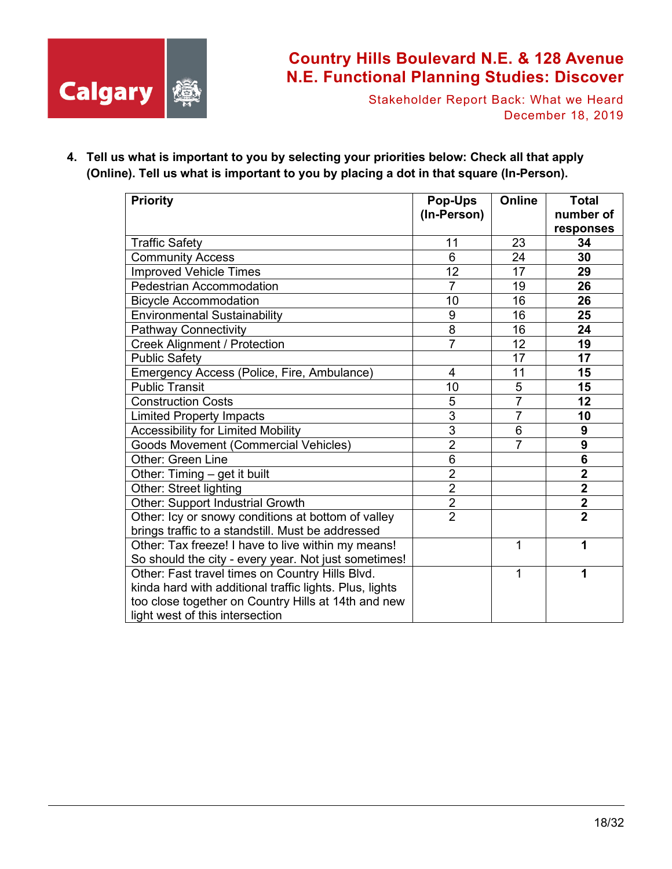

Stakeholder Report Back: What we Heard December 18, 2019

**4. Tell us what is important to you by selecting your priorities below: Check all that apply (Online). Tell us what is important to you by placing a dot in that square (In-Person).**

| <b>Priority</b>                                         | <b>Pop-Ups</b> | Online         | <b>Total</b>            |
|---------------------------------------------------------|----------------|----------------|-------------------------|
|                                                         | (In-Person)    |                | number of               |
|                                                         |                |                | responses               |
| <b>Traffic Safety</b>                                   | 11             | 23             | 34                      |
| <b>Community Access</b>                                 | 6              | 24             | 30                      |
| <b>Improved Vehicle Times</b>                           | 12             | 17             | 29                      |
| <b>Pedestrian Accommodation</b>                         | $\overline{7}$ | 19             | 26                      |
| <b>Bicycle Accommodation</b>                            | 10             | 16             | 26                      |
| <b>Environmental Sustainability</b>                     | 9              | 16             | 25                      |
| <b>Pathway Connectivity</b>                             | 8              | 16             | 24                      |
| <b>Creek Alignment / Protection</b>                     | $\overline{7}$ | 12             | 19                      |
| <b>Public Safety</b>                                    |                | 17             | 17                      |
| Emergency Access (Police, Fire, Ambulance)              | 4              | 11             | 15                      |
| <b>Public Transit</b>                                   | 10             | 5              | 15                      |
| <b>Construction Costs</b>                               | 5              | $\overline{7}$ | 12                      |
| <b>Limited Property Impacts</b>                         | $\overline{3}$ | $\overline{7}$ | 10                      |
| <b>Accessibility for Limited Mobility</b>               | $\overline{3}$ | 6              | 9                       |
| <b>Goods Movement (Commercial Vehicles)</b>             | $\overline{2}$ | $\overline{7}$ | 9                       |
| <b>Other: Green Line</b>                                | $\overline{6}$ |                | 6                       |
| Other: Timing - get it built                            | $\overline{2}$ |                | $\overline{\mathbf{2}}$ |
| Other: Street lighting                                  | $\overline{2}$ |                | $\overline{\mathbf{2}}$ |
| Other: Support Industrial Growth                        | $\overline{2}$ |                | $\overline{\mathbf{2}}$ |
| Other: Icy or snowy conditions at bottom of valley      | $\overline{2}$ |                | $\overline{2}$          |
| brings traffic to a standstill. Must be addressed       |                |                |                         |
| Other: Tax freeze! I have to live within my means!      |                | 1              | 1                       |
| So should the city - every year. Not just sometimes!    |                |                |                         |
| Other: Fast travel times on Country Hills Blvd.         |                | 1              | 1                       |
| kinda hard with additional traffic lights. Plus, lights |                |                |                         |
| too close together on Country Hills at 14th and new     |                |                |                         |
| light west of this intersection                         |                |                |                         |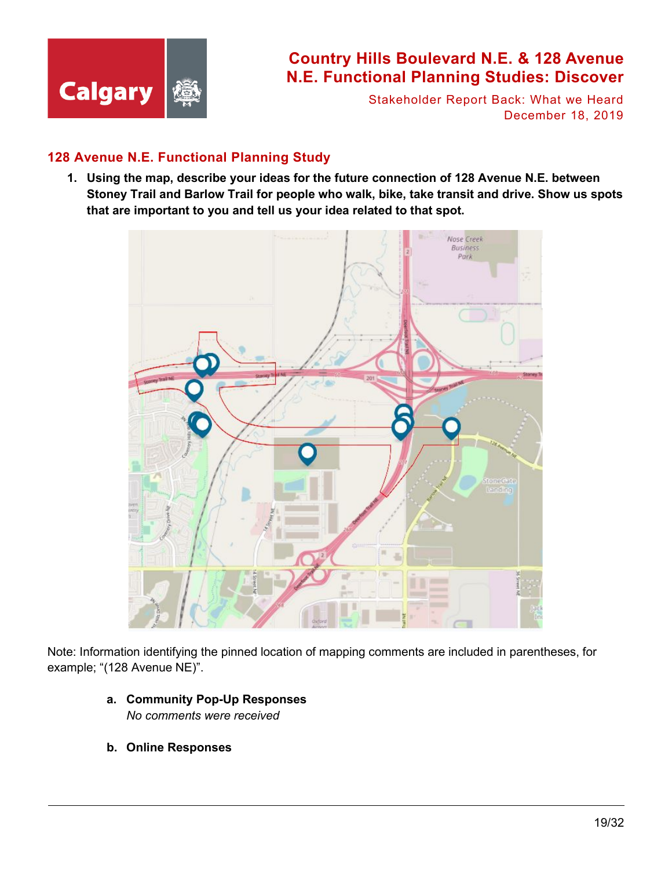

Stakeholder Report Back: What we Heard December 18, 2019

### **128 Avenue N.E. Functional Planning Study**

**1. Using the map, describe your ideas for the future connection of 128 Avenue N.E. between Stoney Trail and Barlow Trail for people who walk, bike, take transit and drive. Show us spots that are important to you and tell us your idea related to that spot.**



Note: Information identifying the pinned location of mapping comments are included in parentheses, for example; "(128 Avenue NE)".

- **a. Community Pop-Up Responses** *No comments were received*
- **b. Online Responses**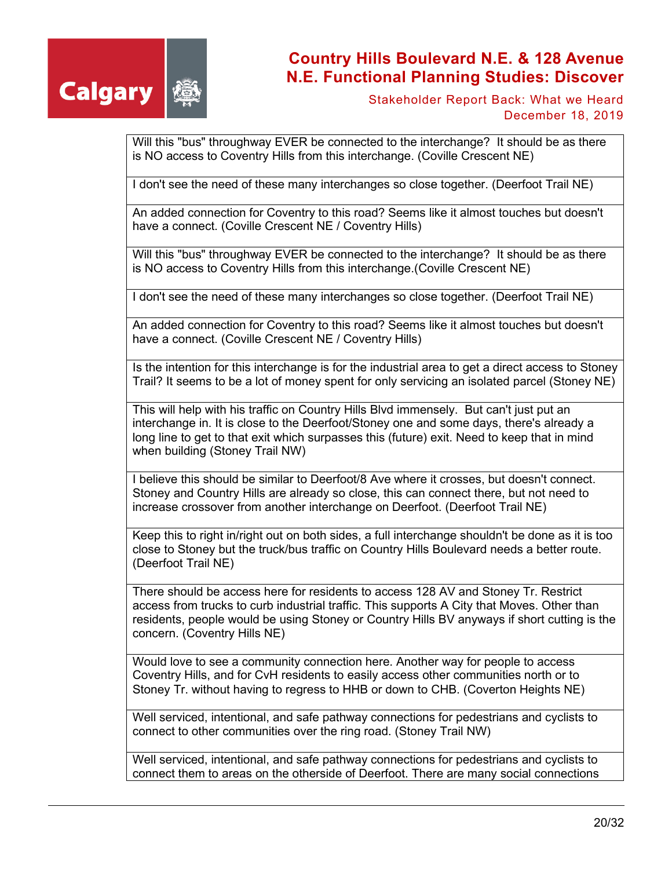

Stakeholder Report Back: What we Heard December 18, 2019

Will this "bus" throughway EVER be connected to the interchange? It should be as there is NO access to Coventry Hills from this interchange. (Coville Crescent NE)

I don't see the need of these many interchanges so close together. (Deerfoot Trail NE)

An added connection for Coventry to this road? Seems like it almost touches but doesn't have a connect. (Coville Crescent NE / Coventry Hills)

Will this "bus" throughway EVER be connected to the interchange? It should be as there is NO access to Coventry Hills from this interchange.(Coville Crescent NE)

I don't see the need of these many interchanges so close together. (Deerfoot Trail NE)

An added connection for Coventry to this road? Seems like it almost touches but doesn't have a connect. (Coville Crescent NE / Coventry Hills)

Is the intention for this interchange is for the industrial area to get a direct access to Stoney Trail? It seems to be a lot of money spent for only servicing an isolated parcel (Stoney NE)

This will help with his traffic on Country Hills Blvd immensely. But can't just put an interchange in. It is close to the Deerfoot/Stoney one and some days, there's already a long line to get to that exit which surpasses this (future) exit. Need to keep that in mind when building (Stoney Trail NW)

I believe this should be similar to Deerfoot/8 Ave where it crosses, but doesn't connect. Stoney and Country Hills are already so close, this can connect there, but not need to increase crossover from another interchange on Deerfoot. (Deerfoot Trail NE)

Keep this to right in/right out on both sides, a full interchange shouldn't be done as it is too close to Stoney but the truck/bus traffic on Country Hills Boulevard needs a better route. (Deerfoot Trail NE)

There should be access here for residents to access 128 AV and Stoney Tr. Restrict access from trucks to curb industrial traffic. This supports A City that Moves. Other than residents, people would be using Stoney or Country Hills BV anyways if short cutting is the concern. (Coventry Hills NE)

Would love to see a community connection here. Another way for people to access Coventry Hills, and for CvH residents to easily access other communities north or to Stoney Tr. without having to regress to HHB or down to CHB. (Coverton Heights NE)

Well serviced, intentional, and safe pathway connections for pedestrians and cyclists to connect to other communities over the ring road. (Stoney Trail NW)

Well serviced, intentional, and safe pathway connections for pedestrians and cyclists to connect them to areas on the otherside of Deerfoot. There are many social connections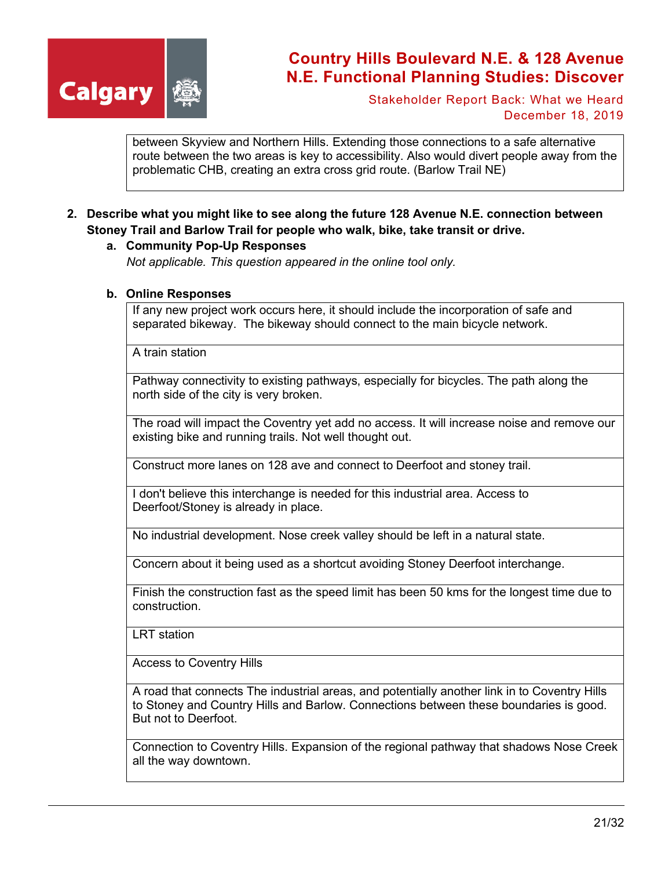

Stakeholder Report Back: What we Heard December 18, 2019

between Skyview and Northern Hills. Extending those connections to a safe alternative route between the two areas is key to accessibility. Also would divert people away from the problematic CHB, creating an extra cross grid route. (Barlow Trail NE)

#### **2. Describe what you might like to see along the future 128 Avenue N.E. connection between Stoney Trail and Barlow Trail for people who walk, bike, take transit or drive.**

#### **a. Community Pop-Up Responses**

*Not applicable. This question appeared in the online tool only.*

#### **b. Online Responses**

If any new project work occurs here, it should include the incorporation of safe and separated bikeway. The bikeway should connect to the main bicycle network.

A train station

Pathway connectivity to existing pathways, especially for bicycles. The path along the north side of the city is very broken.

The road will impact the Coventry yet add no access. It will increase noise and remove our existing bike and running trails. Not well thought out.

Construct more lanes on 128 ave and connect to Deerfoot and stoney trail.

I don't believe this interchange is needed for this industrial area. Access to Deerfoot/Stoney is already in place.

No industrial development. Nose creek valley should be left in a natural state.

Concern about it being used as a shortcut avoiding Stoney Deerfoot interchange.

Finish the construction fast as the speed limit has been 50 kms for the longest time due to construction.

LRT station

Access to Coventry Hills

A road that connects The industrial areas, and potentially another link in to Coventry Hills to Stoney and Country Hills and Barlow. Connections between these boundaries is good. But not to Deerfoot.

Connection to Coventry Hills. Expansion of the regional pathway that shadows Nose Creek all the way downtown.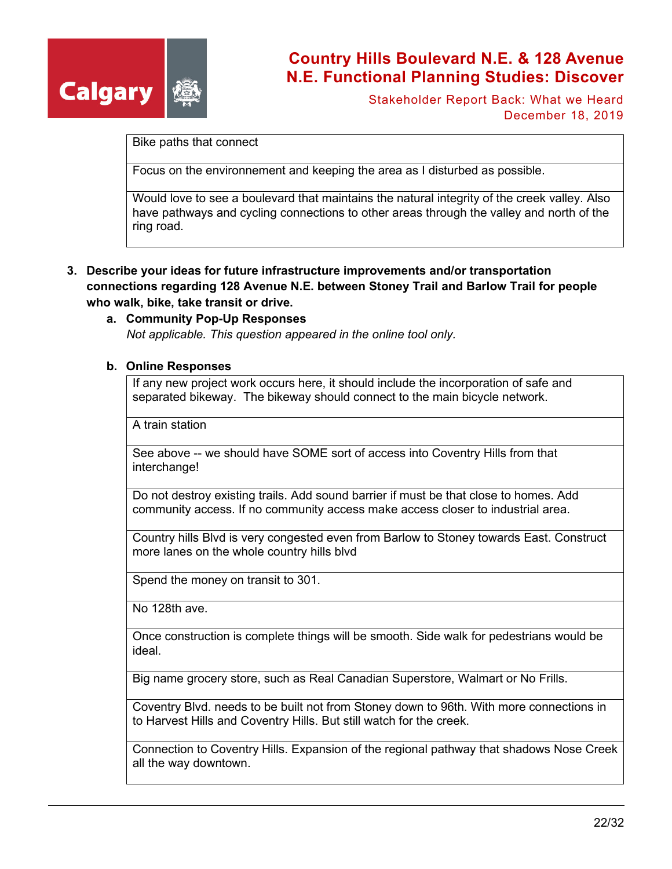

Stakeholder Report Back: What we Heard December 18, 2019

Bike paths that connect

Focus on the environnement and keeping the area as I disturbed as possible.

Would love to see a boulevard that maintains the natural integrity of the creek valley. Also have pathways and cycling connections to other areas through the valley and north of the ring road.

- **3. Describe your ideas for future infrastructure improvements and/or transportation connections regarding 128 Avenue N.E. between Stoney Trail and Barlow Trail for people who walk, bike, take transit or drive.**
	- **a. Community Pop-Up Responses** *Not applicable. This question appeared in the online tool only.*

#### **b. Online Responses**

If any new project work occurs here, it should include the incorporation of safe and separated bikeway. The bikeway should connect to the main bicycle network.

A train station

See above -- we should have SOME sort of access into Coventry Hills from that interchange!

Do not destroy existing trails. Add sound barrier if must be that close to homes. Add community access. If no community access make access closer to industrial area.

Country hills Blvd is very congested even from Barlow to Stoney towards East. Construct more lanes on the whole country hills blvd

Spend the money on transit to 301.

No 128th ave.

Once construction is complete things will be smooth. Side walk for pedestrians would be ideal.

Big name grocery store, such as Real Canadian Superstore, Walmart or No Frills.

Coventry Blvd. needs to be built not from Stoney down to 96th. With more connections in to Harvest Hills and Coventry Hills. But still watch for the creek.

Connection to Coventry Hills. Expansion of the regional pathway that shadows Nose Creek all the way downtown.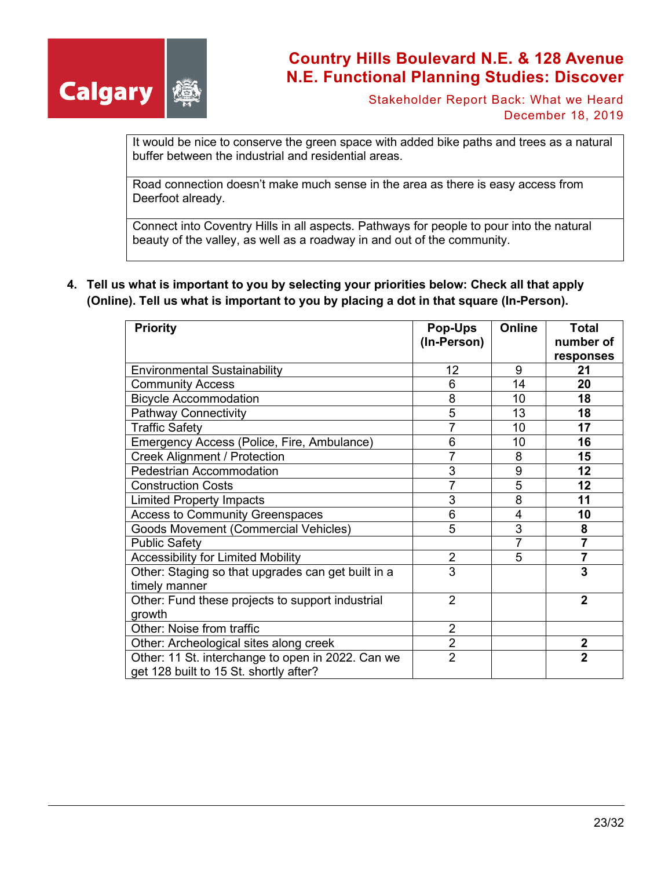

Stakeholder Report Back: What we Heard December 18, 2019

It would be nice to conserve the green space with added bike paths and trees as a natural buffer between the industrial and residential areas.

Road connection doesn't make much sense in the area as there is easy access from Deerfoot already.

Connect into Coventry Hills in all aspects. Pathways for people to pour into the natural beauty of the valley, as well as a roadway in and out of the community.

**4. Tell us what is important to you by selecting your priorities below: Check all that apply (Online). Tell us what is important to you by placing a dot in that square (In-Person).**

| <b>Priority</b>                                                                             | <b>Pop-Ups</b>  | <b>Online</b> | Total          |
|---------------------------------------------------------------------------------------------|-----------------|---------------|----------------|
|                                                                                             | (In-Person)     |               | number of      |
|                                                                                             |                 |               | responses      |
| <b>Environmental Sustainability</b>                                                         | 12 <sub>2</sub> | 9             | 21             |
| <b>Community Access</b>                                                                     | 6               | 14            | 20             |
| <b>Bicycle Accommodation</b>                                                                | 8               | 10            | 18             |
| <b>Pathway Connectivity</b>                                                                 | 5               | 13            | 18             |
| <b>Traffic Safety</b>                                                                       | 7               | 10            | 17             |
| Emergency Access (Police, Fire, Ambulance)                                                  | 6               | 10            | 16             |
| <b>Creek Alignment / Protection</b>                                                         | 7               | 8             | 15             |
| <b>Pedestrian Accommodation</b>                                                             | 3               | 9             | 12             |
| <b>Construction Costs</b>                                                                   | 7               | 5             | 12             |
| <b>Limited Property Impacts</b>                                                             | 3               | 8             | 11             |
| <b>Access to Community Greenspaces</b>                                                      | 6               | 4             | 10             |
| <b>Goods Movement (Commercial Vehicles)</b>                                                 | 5               | 3             | 8              |
| <b>Public Safety</b>                                                                        |                 | 7             | 7              |
| <b>Accessibility for Limited Mobility</b>                                                   | $\overline{2}$  | 5             | $\overline{7}$ |
| Other: Staging so that upgrades can get built in a                                          | 3               |               | 3              |
| timely manner                                                                               |                 |               |                |
| Other: Fund these projects to support industrial                                            | $\overline{2}$  |               | $\mathbf{2}$   |
| growth                                                                                      |                 |               |                |
| Other: Noise from traffic                                                                   | $\overline{2}$  |               |                |
| Other: Archeological sites along creek                                                      | $\overline{2}$  |               | $\overline{2}$ |
| Other: 11 St. interchange to open in 2022. Can we<br>get 128 built to 15 St. shortly after? | $\overline{2}$  |               | $\overline{2}$ |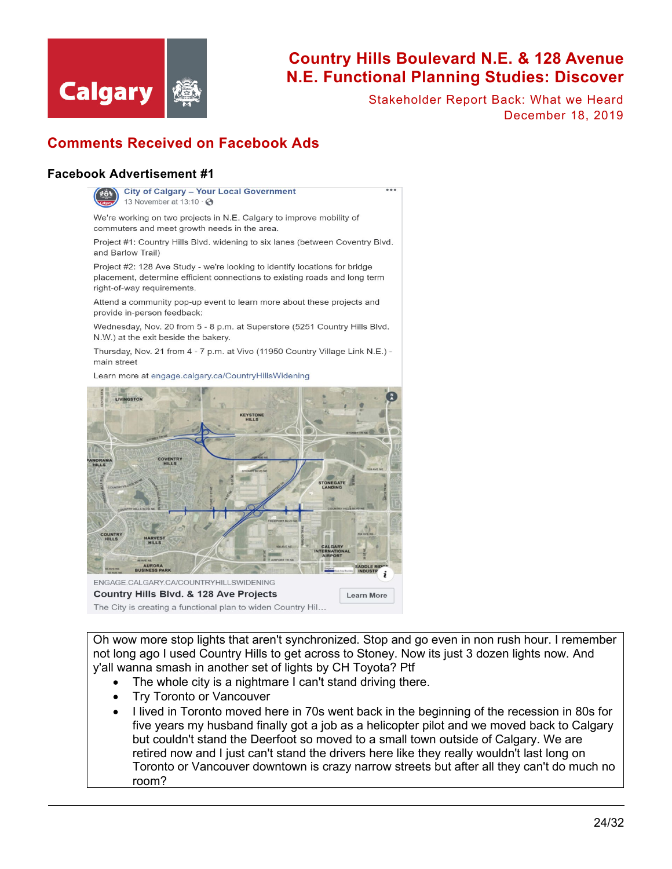

Stakeholder Report Back: What we Heard December 18, 2019

### **Comments Received on Facebook Ads**

#### **Facebook Advertisement #1**



**City of Calgary - Your Local Government** 13 November at  $13:10 \cdot \textcircled{}$ 

We're working on two projects in N.E. Calgary to improve mobility of commuters and meet growth needs in the area.

Project #1: Country Hills Blvd. widening to six lanes (between Coventry Blvd. and Barlow Trail)

Project #2: 128 Ave Study - we're looking to identify locations for bridge placement, determine efficient connections to existing roads and long term right-of-way requirements.

Attend a community pop-up event to learn more about these projects and provide in-person feedback:

Wednesday, Nov. 20 from 5 - 8 p.m. at Superstore (5251 Country Hills Blvd. N.W.) at the exit beside the bakery.

Thursday, Nov. 21 from 4 - 7 p.m. at Vivo (11950 Country Village Link N.E.) main street

Learn more at engage.calgary.ca/CountryHillsWidening



Oh wow more stop lights that aren't synchronized. Stop and go even in non rush hour. I remember not long ago I used Country Hills to get across to Stoney. Now its just 3 dozen lights now. And y'all wanna smash in another set of lights by CH Toyota? Ptf

- The whole city is a nightmare I can't stand driving there.
- Try Toronto or Vancouver
- I lived in Toronto moved here in 70s went back in the beginning of the recession in 80s for five years my husband finally got a job as a helicopter pilot and we moved back to Calgary but couldn't stand the Deerfoot so moved to a small town outside of Calgary. We are retired now and I just can't stand the drivers here like they really wouldn't last long on Toronto or Vancouver downtown is crazy narrow streets but after all they can't do much no room?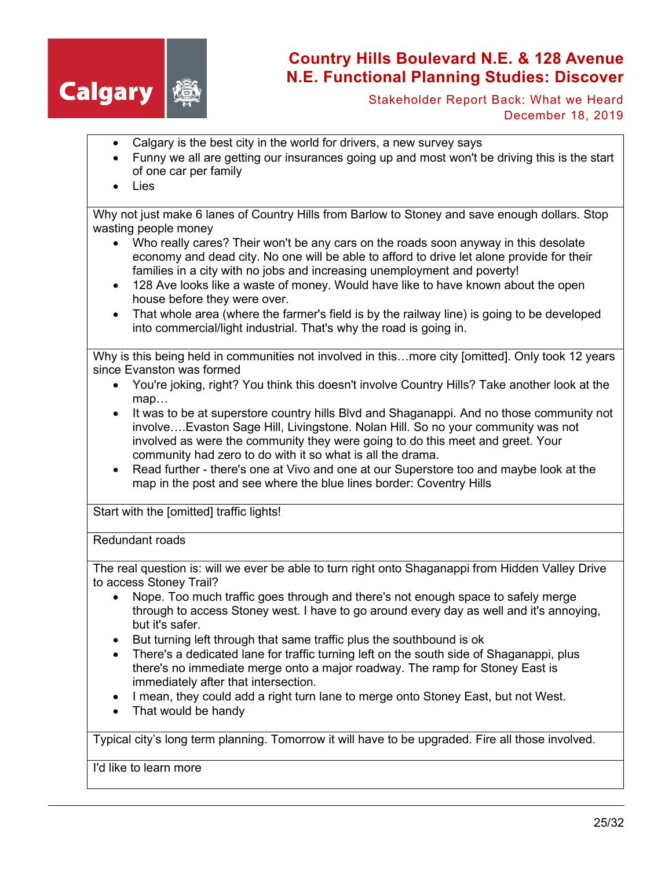

Stakeholder Report Back: What we Heard December 18, 2019

- Calgary is the best city in the world for drivers, a new survey says
- Funny we all are getting our insurances going up and most won't be driving this is the start of one car per family
- **Lies**

Why not just make 6 lanes of Country Hills from Barlow to Stoney and save enough dollars. Stop wasting people money

- Who really cares? Their won't be any cars on the roads soon anyway in this desolate economy and dead city. No one will be able to afford to drive let alone provide for their families in a city with no jobs and increasing unemployment and poverty!
- 128 Ave looks like a waste of money. Would have like to have known about the open house before they were over.
- That whole area (where the farmer's field is by the railway line) is going to be developed into commercial/light industrial. That's why the road is going in.

Why is this being held in communities not involved in this…more city [omitted]. Only took 12 years since Evanston was formed

- You're joking, right? You think this doesn't involve Country Hills? Take another look at the map…
- It was to be at superstore country hills Blvd and Shaganappi. And no those community not involve….Evaston Sage Hill, Livingstone. Nolan Hill. So no your community was not involved as were the community they were going to do this meet and greet. Your community had zero to do with it so what is all the drama.
- Read further there's one at Vivo and one at our Superstore too and maybe look at the map in the post and see where the blue lines border: Coventry Hills

Start with the [omitted] traffic lights!

#### Redundant roads

The real question is: will we ever be able to turn right onto Shaganappi from Hidden Valley Drive to access Stoney Trail?

- Nope. Too much traffic goes through and there's not enough space to safely merge through to access Stoney west. I have to go around every day as well and it's annoying, but it's safer.
- But turning left through that same traffic plus the southbound is ok
- There's a dedicated lane for traffic turning left on the south side of Shaganappi, plus there's no immediate merge onto a major roadway. The ramp for Stoney East is immediately after that intersection.
- I mean, they could add a right turn lane to merge onto Stoney East, but not West.
- That would be handy

Typical city's long term planning. Tomorrow it will have to be upgraded. Fire all those involved.

I'd like to learn more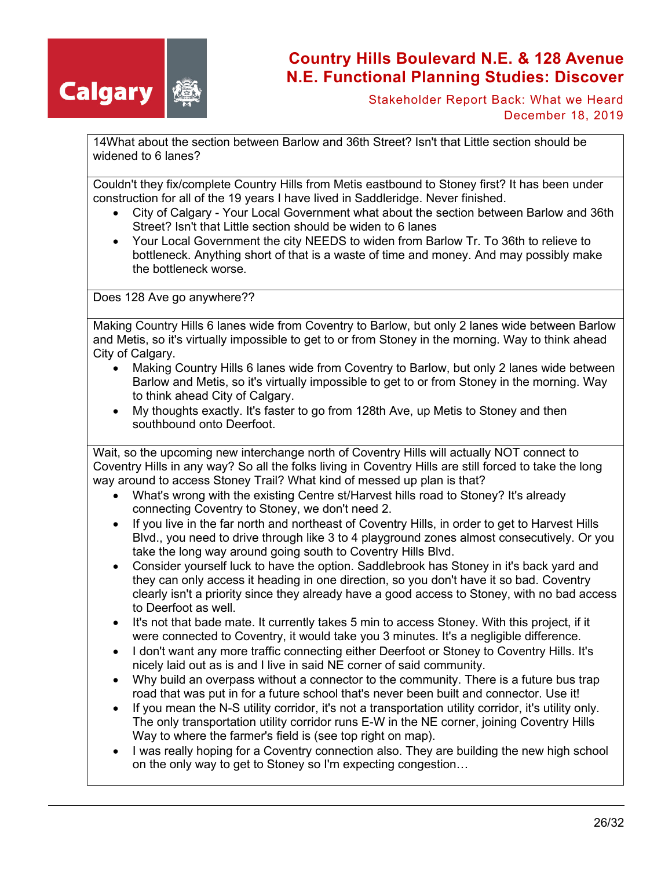

Stakeholder Report Back: What we Heard December 18, 2019

14What about the section between Barlow and 36th Street? Isn't that Little section should be widened to 6 lanes?

Couldn't they fix/complete Country Hills from Metis eastbound to Stoney first? It has been under construction for all of the 19 years I have lived in Saddleridge. Never finished.

- City of Calgary Your Local Government what about the section between Barlow and 36th Street? Isn't that Little section should be widen to 6 lanes
- Your Local Government the city NEEDS to widen from Barlow Tr. To 36th to relieve to bottleneck. Anything short of that is a waste of time and money. And may possibly make the bottleneck worse.

Does 128 Ave go anywhere??

Making Country Hills 6 lanes wide from Coventry to Barlow, but only 2 lanes wide between Barlow and Metis, so it's virtually impossible to get to or from Stoney in the morning. Way to think ahead City of Calgary.

- Making Country Hills 6 lanes wide from Coventry to Barlow, but only 2 lanes wide between Barlow and Metis, so it's virtually impossible to get to or from Stoney in the morning. Way to think ahead City of Calgary.
- My thoughts exactly. It's faster to go from 128th Ave, up Metis to Stoney and then southbound onto Deerfoot.

Wait, so the upcoming new interchange north of Coventry Hills will actually NOT connect to Coventry Hills in any way? So all the folks living in Coventry Hills are still forced to take the long way around to access Stoney Trail? What kind of messed up plan is that?

- What's wrong with the existing Centre st/Harvest hills road to Stoney? It's already connecting Coventry to Stoney, we don't need 2.
- If you live in the far north and northeast of Coventry Hills, in order to get to Harvest Hills Blvd., you need to drive through like 3 to 4 playground zones almost consecutively. Or you take the long way around going south to Coventry Hills Blvd.
- Consider yourself luck to have the option. Saddlebrook has Stoney in it's back yard and they can only access it heading in one direction, so you don't have it so bad. Coventry clearly isn't a priority since they already have a good access to Stoney, with no bad access to Deerfoot as well.
- It's not that bade mate. It currently takes 5 min to access Stoney. With this project, if it were connected to Coventry, it would take you 3 minutes. It's a negligible difference.
- I don't want any more traffic connecting either Deerfoot or Stoney to Coventry Hills. It's nicely laid out as is and I live in said NE corner of said community.
- Why build an overpass without a connector to the community. There is a future bus trap road that was put in for a future school that's never been built and connector. Use it!
- If you mean the N-S utility corridor, it's not a transportation utility corridor, it's utility only. The only transportation utility corridor runs E-W in the NE corner, joining Coventry Hills Way to where the farmer's field is (see top right on map).
- I was really hoping for a Coventry connection also. They are building the new high school on the only way to get to Stoney so I'm expecting congestion…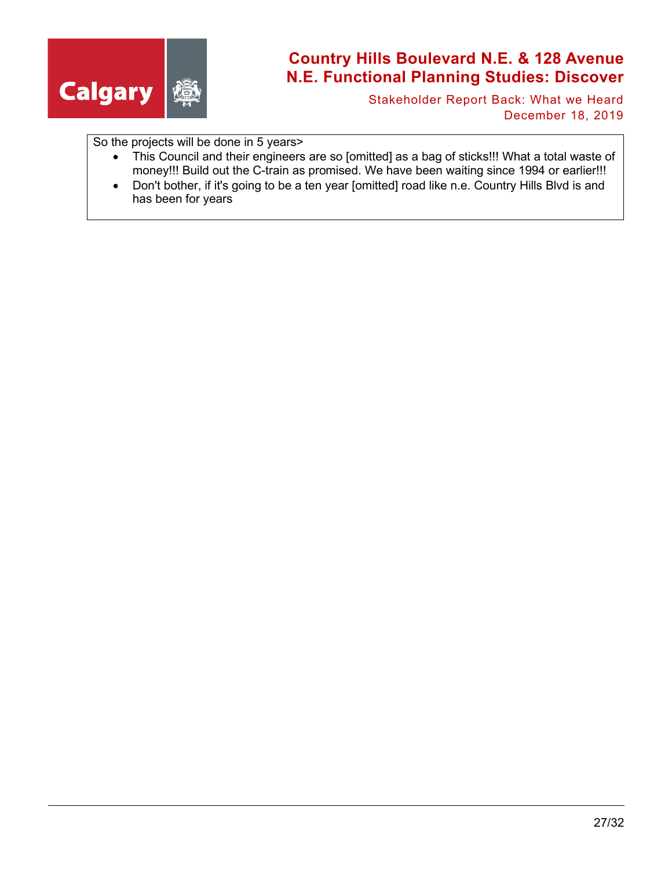

Stakeholder Report Back: What we Heard December 18, 2019

So the projects will be done in 5 years>

- This Council and their engineers are so [omitted] as a bag of sticks!!! What a total waste of money!!! Build out the C-train as promised. We have been waiting since 1994 or earlier!!!
- Don't bother, if it's going to be a ten year [omitted] road like n.e. Country Hills Blvd is and has been for years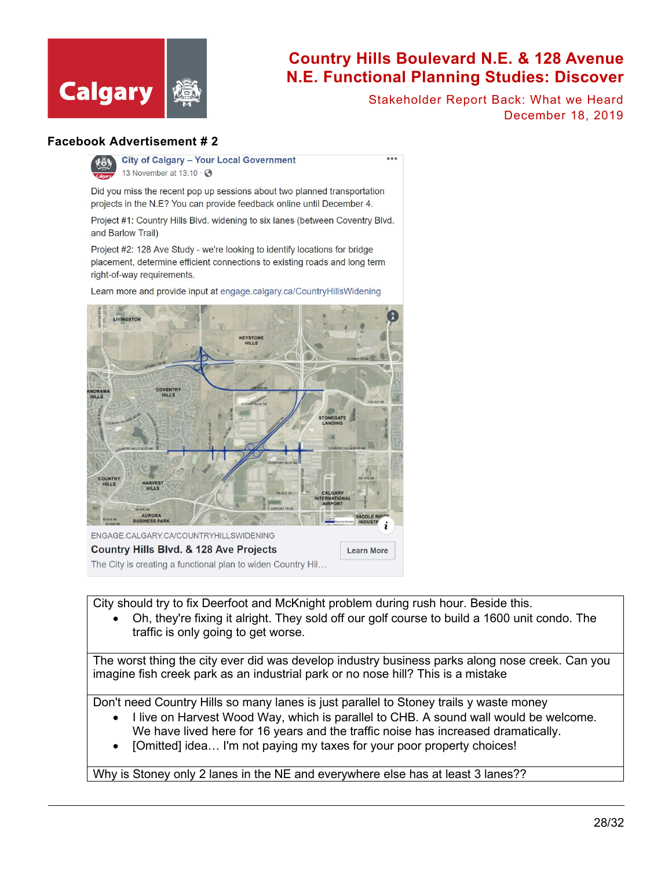

Stakeholder Report Back: What we Heard December 18, 2019

#### **Facebook Advertisement # 2**



**City of Calgary - Your Local Government** 13 November at  $13:10 \cdot Q$ 

Did you miss the recent pop up sessions about two planned transportation projects in the N.E? You can provide feedback online until December 4.

Project #1: Country Hills Blvd. widening to six lanes (between Coventry Blvd. and Barlow Trail)

Project #2: 128 Ave Study - we're looking to identify locations for bridge placement, determine efficient connections to existing roads and long term right-of-way requirements.

Learn more and provide input at engage.calgary.ca/CountryHillsWidening



City should try to fix Deerfoot and McKnight problem during rush hour. Beside this.

• Oh, they're fixing it alright. They sold off our golf course to build a 1600 unit condo. The traffic is only going to get worse.

The worst thing the city ever did was develop industry business parks along nose creek. Can you imagine fish creek park as an industrial park or no nose hill? This is a mistake

Don't need Country Hills so many lanes is just parallel to Stoney trails y waste money

- I live on Harvest Wood Way, which is parallel to CHB. A sound wall would be welcome. We have lived here for 16 years and the traffic noise has increased dramatically.
- [Omitted] idea... I'm not paying my taxes for your poor property choices!

Why is Stoney only 2 lanes in the NE and everywhere else has at least 3 lanes??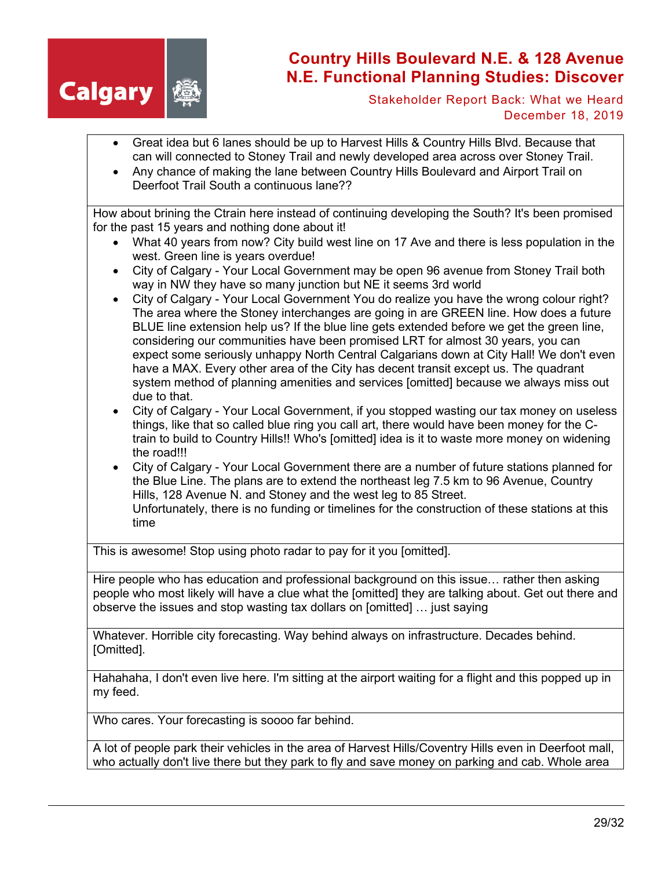

Stakeholder Report Back: What we Heard December 18, 2019

- Great idea but 6 lanes should be up to Harvest Hills & Country Hills Blvd. Because that can will connected to Stoney Trail and newly developed area across over Stoney Trail.
- Any chance of making the lane between Country Hills Boulevard and Airport Trail on Deerfoot Trail South a continuous lane??

How about brining the Ctrain here instead of continuing developing the South? It's been promised for the past 15 years and nothing done about it!

- What 40 years from now? City build west line on 17 Ave and there is less population in the west. Green line is years overdue!
- City of Calgary Your Local Government may be open 96 avenue from Stoney Trail both way in NW they have so many junction but NE it seems 3rd world
- City of Calgary Your Local Government You do realize you have the wrong colour right? The area where the Stoney interchanges are going in are GREEN line. How does a future BLUE line extension help us? If the blue line gets extended before we get the green line, considering our communities have been promised LRT for almost 30 years, you can expect some seriously unhappy North Central Calgarians down at City Hall! We don't even have a MAX. Every other area of the City has decent transit except us. The quadrant system method of planning amenities and services [omitted] because we always miss out due to that.
- City of Calgary Your Local Government, if you stopped wasting our tax money on useless things, like that so called blue ring you call art, there would have been money for the Ctrain to build to Country Hills!! Who's [omitted] idea is it to waste more money on widening the road!!!
- City of Calgary Your Local Government there are a number of future stations planned for the Blue Line. The plans are to extend the northeast leg 7.5 km to 96 Avenue, Country Hills, 128 Avenue N. and Stoney and the west leg to 85 Street. Unfortunately, there is no funding or timelines for the construction of these stations at this time

This is awesome! Stop using photo radar to pay for it you [omitted].

Hire people who has education and professional background on this issue… rather then asking people who most likely will have a clue what the [omitted] they are talking about. Get out there and observe the issues and stop wasting tax dollars on [omitted] … just saying

Whatever. Horrible city forecasting. Way behind always on infrastructure. Decades behind. [Omitted].

Hahahaha, I don't even live here. I'm sitting at the airport waiting for a flight and this popped up in my feed.

Who cares. Your forecasting is soooo far behind.

A lot of people park their vehicles in the area of Harvest Hills/Coventry Hills even in Deerfoot mall, who actually don't live there but they park to fly and save money on parking and cab. Whole area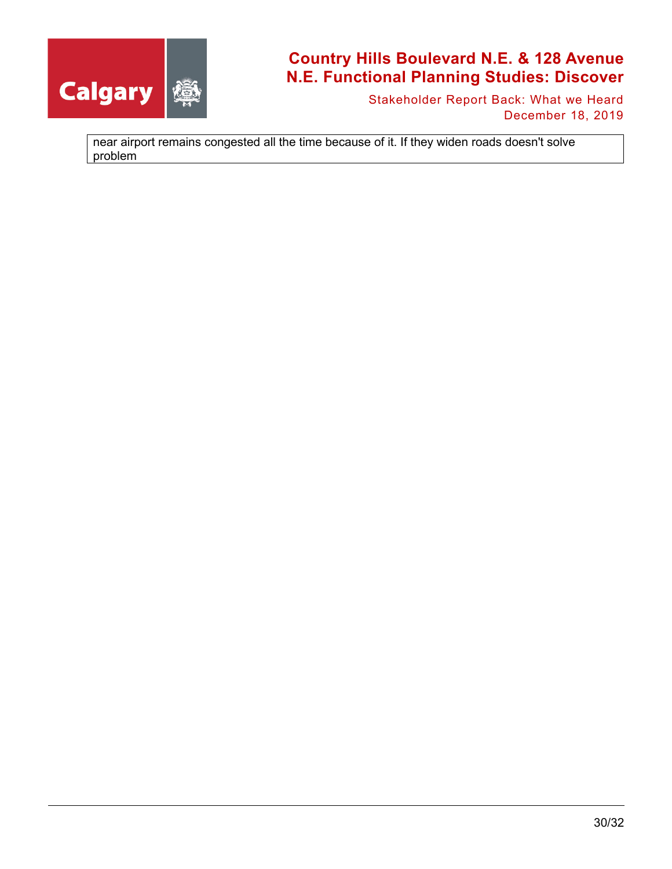

Stakeholder Report Back: What we Heard December 18, 2019

near airport remains congested all the time because of it. If they widen roads doesn't solve problem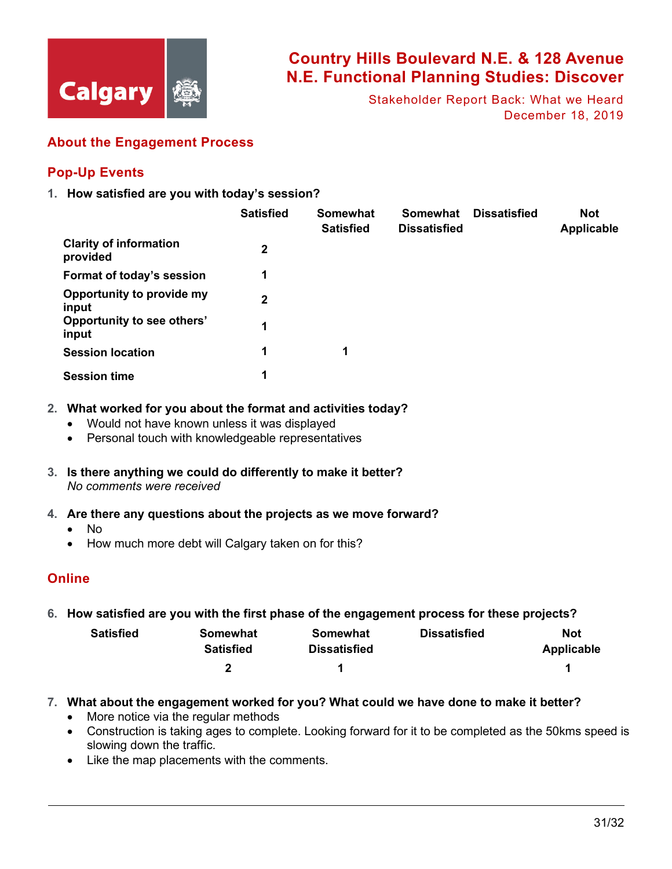

Stakeholder Report Back: What we Heard December 18, 2019

### **About the Engagement Process**

### **Pop-Up Events**

**1. How satisfied are you with today's session?**

|                                           | <b>Satisfied</b> | Somewhat<br><b>Satisfied</b> | Somewhat<br><b>Dissatisfied</b> | <b>Dissatisfied</b> | <b>Not</b><br><b>Applicable</b> |
|-------------------------------------------|------------------|------------------------------|---------------------------------|---------------------|---------------------------------|
| <b>Clarity of information</b><br>provided | 2                |                              |                                 |                     |                                 |
| Format of today's session                 | 1                |                              |                                 |                     |                                 |
| Opportunity to provide my<br>input        | 2                |                              |                                 |                     |                                 |
| Opportunity to see others'<br>input       | 1                |                              |                                 |                     |                                 |
| <b>Session location</b>                   | 1                | 1                            |                                 |                     |                                 |
| <b>Session time</b>                       | 1                |                              |                                 |                     |                                 |

- **2. What worked for you about the format and activities today?**
	- Would not have known unless it was displayed
	- Personal touch with knowledgeable representatives
- **3. Is there anything we could do differently to make it better?** *No comments were received*
- **4. Are there any questions about the projects as we move forward?**
	- No
	- How much more debt will Calgary taken on for this?

### **Online**

**6. How satisfied are you with the first phase of the engagement process for these projects?**

| <b>Satisfied</b> | Somewhat         | Somewhat            | <b>Dissatisfied</b> | Not        |
|------------------|------------------|---------------------|---------------------|------------|
|                  | <b>Satisfied</b> | <b>Dissatisfied</b> |                     | Applicable |
|                  |                  |                     |                     |            |

- **7. What about the engagement worked for you? What could we have done to make it better?**
	- More notice via the regular methods
	- Construction is taking ages to complete. Looking forward for it to be completed as the 50kms speed is slowing down the traffic.
	- Like the map placements with the comments.